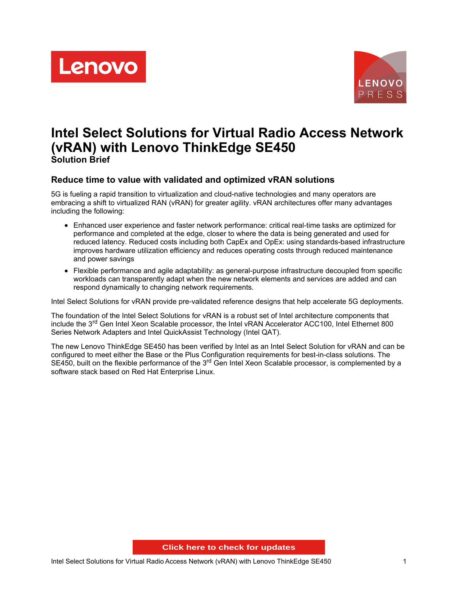



# **Intel Select Solutions for Virtual Radio Access Network (vRAN) with Lenovo ThinkEdge SE450 Solution Brief**

# **Reduce time to value with validated and optimized vRAN solutions**

5G is fueling a rapid transition to virtualization and cloud-native technologies and many operators are embracing a shift to virtualized RAN (vRAN) for greater agility. vRAN architectures offer many advantages including the following:

- Enhanced user experience and faster network performance: critical real-time tasks are optimized for performance and completed at the edge, closer to where the data is being generated and used for reduced latency. Reduced costs including both CapEx and OpEx: using standards-based infrastructure improves hardware utilization efficiency and reduces operating costs through reduced maintenance and power savings
- Flexible performance and agile adaptability: as general-purpose infrastructure decoupled from specific workloads can transparently adapt when the new network elements and services are added and can respond dynamically to changing network requirements.

Intel Select Solutions for vRAN provide pre-validated reference designs that help accelerate 5G deployments.

The foundation of the Intel Select Solutions for vRAN is a robust set of Intel architecture components that include the 3<sup>rd</sup> Gen Intel Xeon Scalable processor, the Intel vRAN Accelerator ACC100, Intel Ethernet 800 Series Network Adapters and Intel QuickAssist Technology (Intel QAT).

The new Lenovo ThinkEdge SE450 has been verified by Intel as an Intel Select Solution for vRAN and can be configured to meet either the Base or the Plus Configuration requirements for best-in-class solutions. The SE450, built on the flexible performance of the 3<sup>rd</sup> Gen Intel Xeon Scalable processor, is complemented by a software stack based on Red Hat Enterprise Linux.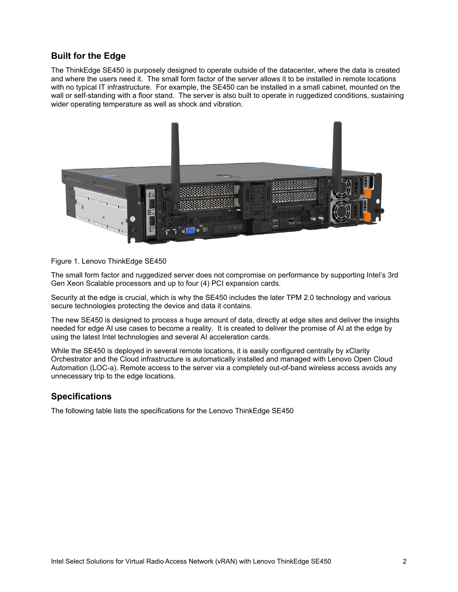# **Built for the Edge**

The ThinkEdge SE450 is purposely designed to operate outside of the datacenter, where the data is created and where the users need it. The small form factor of the server allows it to be installed in remote locations with no typical IT infrastructure. For example, the SE450 can be installed in a small cabinet, mounted on the wall or self-standing with a floor stand. The server is also built to operate in ruggedized conditions, sustaining wider operating temperature as well as shock and vibration.



#### Figure 1. Lenovo ThinkEdge SE450

The small form factor and ruggedized server does not compromise on performance by supporting Intel's 3rd Gen Xeon Scalable processors and up to four (4) PCI expansion cards.

Security at the edge is crucial, which is why the SE450 includes the later TPM 2.0 technology and various secure technologies protecting the device and data it contains.

The new SE450 is designed to process a huge amount of data, directly at edge sites and deliver the insights needed for edge AI use cases to become a reality. It is created to deliver the promise of AI at the edge by using the latest Intel technologies and several AI acceleration cards.

While the SE450 is deployed in several remote locations, it is easily configured centrally by xClarity Orchestrator and the Cloud infrastructure is automatically installed and managed with Lenovo Open Cloud Automation (LOC-a). Remote access to the server via a completely out-of-band wireless access avoids any unnecessary trip to the edge locations.

### **Specifications**

The following table lists the specifications for the Lenovo ThinkEdge SE450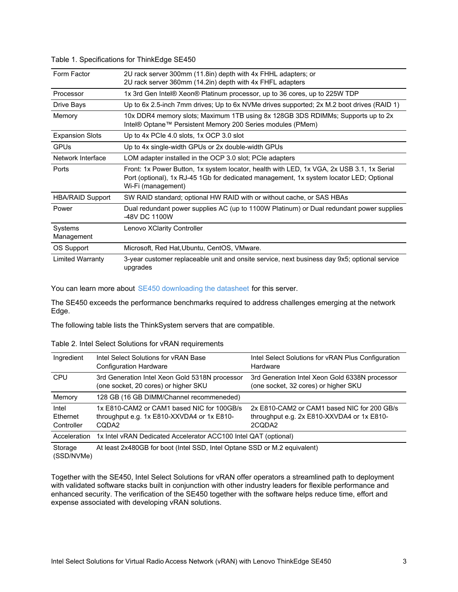| Form Factor             | 2U rack server 300mm (11.8in) depth with 4x FHHL adapters; or<br>2U rack server 360mm (14.2in) depth with 4x FHFL adapters                                                                                 |  |
|-------------------------|------------------------------------------------------------------------------------------------------------------------------------------------------------------------------------------------------------|--|
| Processor               | 1x 3rd Gen Intel® Xeon® Platinum processor, up to 36 cores, up to 225W TDP                                                                                                                                 |  |
| Drive Bays              | Up to 6x 2.5-inch 7mm drives; Up to 6x NVMe drives supported; 2x M.2 boot drives (RAID 1)                                                                                                                  |  |
| Memory                  | 10x DDR4 memory slots; Maximum 1TB using 8x 128GB 3DS RDIMMs; Supports up to 2x<br>Intel® Optane™ Persistent Memory 200 Series modules (PMem)                                                              |  |
| <b>Expansion Slots</b>  | Up to 4x PCIe 4.0 slots, 1x OCP 3.0 slot                                                                                                                                                                   |  |
| <b>GPUs</b>             | Up to 4x single-width GPUs or 2x double-width GPUs                                                                                                                                                         |  |
| Network Interface       | LOM adapter installed in the OCP 3.0 slot; PCIe adapters                                                                                                                                                   |  |
| Ports                   | Front: 1x Power Button, 1x system locator, health with LED, 1x VGA, 2x USB 3.1, 1x Serial<br>Port (optional), 1x RJ-45 1Gb for dedicated management, 1x system locator LED; Optional<br>Wi-Fi (management) |  |
| <b>HBA/RAID Support</b> | SW RAID standard; optional HW RAID with or without cache, or SAS HBAs                                                                                                                                      |  |
| Power                   | Dual redundant power supplies AC (up to 1100W Platinum) or Dual redundant power supplies<br>-48V DC 1100W                                                                                                  |  |
| Systems<br>Management   | Lenovo XClarity Controller                                                                                                                                                                                 |  |
| OS Support              | Microsoft, Red Hat, Ubuntu, CentOS, VMware.                                                                                                                                                                |  |
| <b>Limited Warranty</b> | 3-year customer replaceable unit and onsite service, next business day 9x5; optional service<br>upgrades                                                                                                   |  |

#### Table 1. Specifications for ThinkEdge SE450

You can learn more about SE450 [downloading](http://lenovopress.com/ds0135) the datasheet for this server.

The SE450 exceeds the performance benchmarks required to address challenges emerging at the network Edge.

The following table lists the ThinkSystem servers that are compatible.

#### Table 2. Intel Select Solutions for vRAN requirements

| Ingredient                      | Intel Select Solutions for vRAN Base<br><b>Configuration Hardware</b>                                         | Intel Select Solutions for vRAN Plus Configuration<br>Hardware                                      |  |
|---------------------------------|---------------------------------------------------------------------------------------------------------------|-----------------------------------------------------------------------------------------------------|--|
| <b>CPU</b>                      | 3rd Generation Intel Xeon Gold 5318N processor<br>(one socket, 20 cores) or higher SKU                        | 3rd Generation Intel Xeon Gold 6338N processor<br>(one socket, 32 cores) or higher SKU              |  |
| Memory                          | 128 GB (16 GB DIMM/Channel recommeneded)                                                                      |                                                                                                     |  |
| Intel<br>Ethernet<br>Controller | 1x E810-CAM2 or CAM1 based NIC for 100GB/s<br>throughput e.g. 1x E810-XXVDA4 or 1x E810-<br>CODA <sub>2</sub> | 2x E810-CAM2 or CAM1 based NIC for 200 GB/s<br>throughput e.g. 2x E810-XXVDA4 or 1x E810-<br>2CQDA2 |  |
| Acceleration                    | 1x Intel vRAN Dedicated Accelerator ACC100 Intel QAT (optional)                                               |                                                                                                     |  |
| Storage<br>(SSD/NVMe)           | At least 2x480GB for boot (Intel SSD, Intel Optane SSD or M.2 equivalent)                                     |                                                                                                     |  |

Together with the SE450, Intel Select Solutions for vRAN offer operators a streamlined path to deployment with validated software stacks built in conjunction with other industry leaders for flexible performance and enhanced security. The verification of the SE450 together with the software helps reduce time, effort and expense associated with developing vRAN solutions.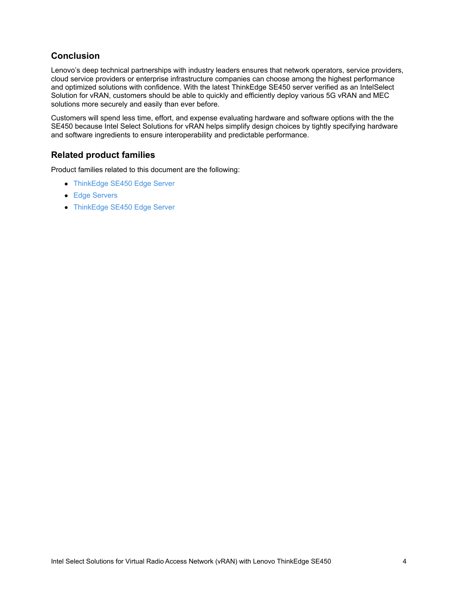# **Conclusion**

Lenovo's deep technical partnerships with industry leaders ensures that network operators, service providers, cloud service providers or enterprise infrastructure companies can choose among the highest performance and optimized solutions with confidence. With the latest ThinkEdge SE450 server verified as an IntelSelect Solution for vRAN, customers should be able to quickly and efficiently deploy various 5G vRAN and MEC solutions more securely and easily than ever before.

Customers will spend less time, effort, and expense evaluating hardware and software options with the the SE450 because Intel Select Solutions for vRAN helps simplify design choices by tightly specifying hardware and software ingredients to ensure interoperability and predictable performance.

# **Related product families**

Product families related to this document are the following:

- **[ThinkEdge](https://lenovopress.com/servers/thinkedge/se450) SE450 Edge Server**
- **Edge [Servers](https://lenovopress.com/servers/edge)**
- [ThinkEdge](https://lenovopress.com/servers/thinksystem/se450) SE450 Edge Server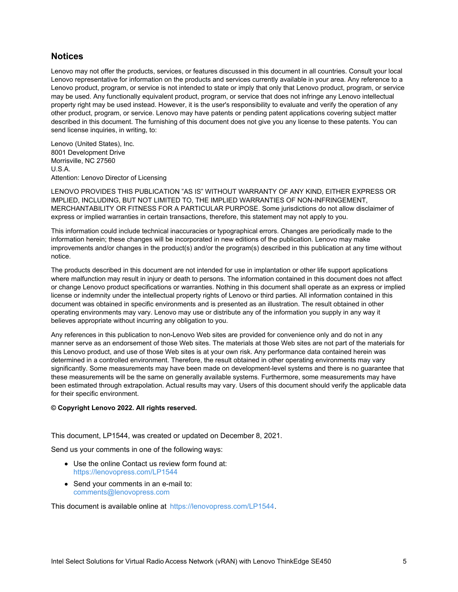## **Notices**

Lenovo may not offer the products, services, or features discussed in this document in all countries. Consult your local Lenovo representative for information on the products and services currently available in your area. Any reference to a Lenovo product, program, or service is not intended to state or imply that only that Lenovo product, program, or service may be used. Any functionally equivalent product, program, or service that does not infringe any Lenovo intellectual property right may be used instead. However, it is the user's responsibility to evaluate and verify the operation of any other product, program, or service. Lenovo may have patents or pending patent applications covering subject matter described in this document. The furnishing of this document does not give you any license to these patents. You can send license inquiries, in writing, to:

Lenovo (United States), Inc. 8001 Development Drive Morrisville, NC 27560 U.S.A. Attention: Lenovo Director of Licensing

LENOVO PROVIDES THIS PUBLICATION "AS IS" WITHOUT WARRANTY OF ANY KIND, EITHER EXPRESS OR IMPLIED, INCLUDING, BUT NOT LIMITED TO, THE IMPLIED WARRANTIES OF NON-INFRINGEMENT, MERCHANTABILITY OR FITNESS FOR A PARTICULAR PURPOSE. Some jurisdictions do not allow disclaimer of express or implied warranties in certain transactions, therefore, this statement may not apply to you.

This information could include technical inaccuracies or typographical errors. Changes are periodically made to the information herein; these changes will be incorporated in new editions of the publication. Lenovo may make improvements and/or changes in the product(s) and/or the program(s) described in this publication at any time without notice.

The products described in this document are not intended for use in implantation or other life support applications where malfunction may result in injury or death to persons. The information contained in this document does not affect or change Lenovo product specifications or warranties. Nothing in this document shall operate as an express or implied license or indemnity under the intellectual property rights of Lenovo or third parties. All information contained in this document was obtained in specific environments and is presented as an illustration. The result obtained in other operating environments may vary. Lenovo may use or distribute any of the information you supply in any way it believes appropriate without incurring any obligation to you.

Any references in this publication to non-Lenovo Web sites are provided for convenience only and do not in any manner serve as an endorsement of those Web sites. The materials at those Web sites are not part of the materials for this Lenovo product, and use of those Web sites is at your own risk. Any performance data contained herein was determined in a controlled environment. Therefore, the result obtained in other operating environments may vary significantly. Some measurements may have been made on development-level systems and there is no guarantee that these measurements will be the same on generally available systems. Furthermore, some measurements may have been estimated through extrapolation. Actual results may vary. Users of this document should verify the applicable data for their specific environment.

#### **© Copyright Lenovo 2022. All rights reserved.**

This document, LP1544, was created or updated on December 8, 2021.

Send us your comments in one of the following ways:

- Use the online Contact us review form found at: <https://lenovopress.com/LP1544>
- Send your comments in an e-mail to: [comments@lenovopress.com](mailto:comments@lenovopress.com?subject=Feedback for LP1544)

This document is available online at <https://lenovopress.com/LP1544>.